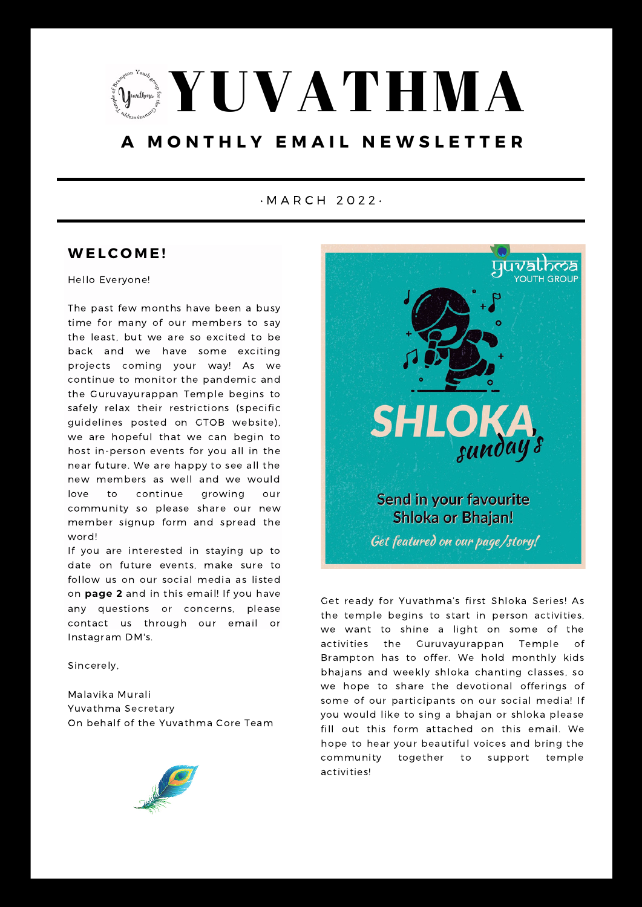

# **A M O N T H L Y E M A I L N E W S L E T T E R**

#### • M A R C H 2 0 2 2 •

### **WE LC O M E !**

Hello Everyone!

The past few months have been a busy time for many of our members to say the least, but we are so excited to be back and we have some exciting projects coming your way! As we continue to monitor the pandemic and the Guruvayurappan Temple begins to safely relax their restrictions (specific guidelines posted on GTOB website), we are hopeful that we can begin to host in-person events for you all in the near future. We are happy to see all the new members as well and we would love to continue growing our community so please share our new member signup form and spread the word!

If you are interested in staying up to date on future events, make sure to follow us on our social media as listed on **page 2** and in this email! If you have any questions or concerns, please contact us through our email or Instagram DM's.

Sincerely,

Malavika Murali Yuvathma Secretary On behalf of the Yuvathma Core Team





Get ready for Yuvathma's first Shloka Series! As the temple begins to start in person activities, we want to shine a light on some of the activities the Guruvayurappan Temple Brampton has to offer. We hold monthly kids bhajans and weekly shloka chanting classes, so we hope to share the devotional offerings of some of our participants on our social media! If you would like to sing a bhajan or shloka please fill out this form attached on this email. We hope to hear your beautiful voices and bring the community together to support temple activities!